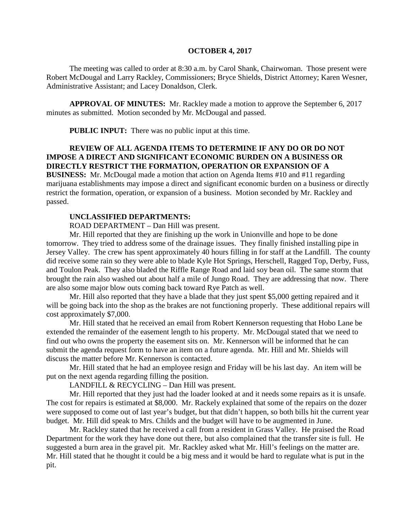#### **OCTOBER 4, 2017**

The meeting was called to order at 8:30 a.m. by Carol Shank, Chairwoman. Those present were Robert McDougal and Larry Rackley, Commissioners; Bryce Shields, District Attorney; Karen Wesner, Administrative Assistant; and Lacey Donaldson, Clerk.

**APPROVAL OF MINUTES:** Mr. Rackley made a motion to approve the September 6, 2017 minutes as submitted. Motion seconded by Mr. McDougal and passed.

**PUBLIC INPUT:** There was no public input at this time.

## **REVIEW OF ALL AGENDA ITEMS TO DETERMINE IF ANY DO OR DO NOT IMPOSE A DIRECT AND SIGNIFICANT ECONOMIC BURDEN ON A BUSINESS OR DIRECTLY RESTRICT THE FORMATION, OPERATION OR EXPANSION OF A**

**BUSINESS:** Mr. McDougal made a motion that action on Agenda Items #10 and #11 regarding marijuana establishments may impose a direct and significant economic burden on a business or directly restrict the formation, operation, or expansion of a business. Motion seconded by Mr. Rackley and passed.

#### **UNCLASSIFIED DEPARTMENTS:**

ROAD DEPARTMENT – Dan Hill was present.

Mr. Hill reported that they are finishing up the work in Unionville and hope to be done tomorrow. They tried to address some of the drainage issues. They finally finished installing pipe in Jersey Valley. The crew has spent approximately 40 hours filling in for staff at the Landfill. The county did receive some rain so they were able to blade Kyle Hot Springs, Herschell, Ragged Top, Derby, Fuss, and Toulon Peak. They also bladed the Riffle Range Road and laid soy bean oil. The same storm that brought the rain also washed out about half a mile of Jungo Road. They are addressing that now. There are also some major blow outs coming back toward Rye Patch as well.

Mr. Hill also reported that they have a blade that they just spent \$5,000 getting repaired and it will be going back into the shop as the brakes are not functioning properly. These additional repairs will cost approximately \$7,000.

Mr. Hill stated that he received an email from Robert Kennerson requesting that Hobo Lane be extended the remainder of the easement length to his property. Mr. McDougal stated that we need to find out who owns the property the easement sits on. Mr. Kennerson will be informed that he can submit the agenda request form to have an item on a future agenda. Mr. Hill and Mr. Shields will discuss the matter before Mr. Kennerson is contacted.

Mr. Hill stated that he had an employee resign and Friday will be his last day. An item will be put on the next agenda regarding filling the position.

LANDFILL & RECYCLING – Dan Hill was present.

Mr. Hill reported that they just had the loader looked at and it needs some repairs as it is unsafe. The cost for repairs is estimated at \$8,000. Mr. Rackely explained that some of the repairs on the dozer were supposed to come out of last year's budget, but that didn't happen, so both bills hit the current year budget. Mr. Hill did speak to Mrs. Childs and the budget will have to be augmented in June.

Mr. Rackley stated that he received a call from a resident in Grass Valley. He praised the Road Department for the work they have done out there, but also complained that the transfer site is full. He suggested a burn area in the gravel pit. Mr. Rackley asked what Mr. Hill's feelings on the matter are. Mr. Hill stated that he thought it could be a big mess and it would be hard to regulate what is put in the pit.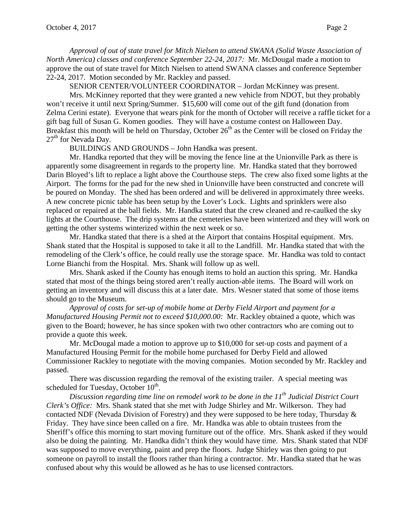*Approval of out of state travel for Mitch Nielsen to attend SWANA (Solid Waste Association of North America) classes and conference September 22-24, 2017:* Mr. McDougal made a motion to approve the out of state travel for Mitch Nielsen to attend SWANA classes and conference September 22-24, 2017. Motion seconded by Mr. Rackley and passed.

SENIOR CENTER/VOLUNTEER COORDINATOR – Jordan McKinney was present.

Mrs. McKinney reported that they were granted a new vehicle from NDOT, but they probably won't receive it until next Spring/Summer. \$15,600 will come out of the gift fund (donation from Zelma Cerini estate). Everyone that wears pink for the month of October will receive a raffle ticket for a gift bag full of Susan G. Komen goodies. They will have a costume contest on Halloween Day. Breakfast this month will be held on Thursday, October  $26<sup>th</sup>$  as the Center will be closed on Friday the  $27<sup>th</sup>$  for Nevada Day.

BUILDINGS AND GROUNDS – John Handka was present.

Mr. Handka reported that they will be moving the fence line at the Unionville Park as there is apparently some disagreement in regards to the property line. Mr. Handka stated that they borrowed Darin Bloyed's lift to replace a light above the Courthouse steps. The crew also fixed some lights at the Airport. The forms for the pad for the new shed in Unionville have been constructed and concrete will be poured on Monday. The shed has been ordered and will be delivered in approximately three weeks. A new concrete picnic table has been setup by the Lover's Lock. Lights and sprinklers were also replaced or repaired at the ball fields. Mr. Handka stated that the crew cleaned and re-caulked the sky lights at the Courthouse. The drip systems at the cemeteries have been winterized and they will work on getting the other systems winterized within the next week or so.

Mr. Handka stated that there is a shed at the Airport that contains Hospital equipment. Mrs. Shank stated that the Hospital is supposed to take it all to the Landfill. Mr. Handka stated that with the remodeling of the Clerk's office, he could really use the storage space. Mr. Handka was told to contact Lorne Bianchi from the Hospital. Mrs. Shank will follow up as well.

Mrs. Shank asked if the County has enough items to hold an auction this spring. Mr. Handka stated that most of the things being stored aren't really auction-able items. The Board will work on getting an inventory and will discuss this at a later date. Mrs. Wesner stated that some of those items should go to the Museum.

*Approval of costs for set-up of mobile home at Derby Field Airport and payment for a Manufactured Housing Permit not to exceed \$10,000.00:* Mr. Rackley obtained a quote, which was given to the Board; however, he has since spoken with two other contractors who are coming out to provide a quote this week.

Mr. McDougal made a motion to approve up to \$10,000 for set-up costs and payment of a Manufactured Housing Permit for the mobile home purchased for Derby Field and allowed Commissioner Rackley to negotiate with the moving companies. Motion seconded by Mr. Rackley and passed.

There was discussion regarding the removal of the existing trailer. A special meeting was scheduled for Tuesday, October 10<sup>th</sup>.

*Discussion regarding time line on remodel work to be done in the 11th Judicial District Court Clerk's Office:* Mrs. Shank stated that she met with Judge Shirley and Mr. Wilkerson. They had contacted NDF (Nevada Division of Forestry) and they were supposed to be here today, Thursday & Friday. They have since been called on a fire. Mr. Handka was able to obtain trustees from the Sheriff's office this morning to start moving furniture out of the office. Mrs. Shank asked if they would also be doing the painting. Mr. Handka didn't think they would have time. Mrs. Shank stated that NDF was supposed to move everything, paint and prep the floors. Judge Shirley was then going to put someone on payroll to install the floors rather than hiring a contractor. Mr. Handka stated that he was confused about why this would be allowed as he has to use licensed contractors.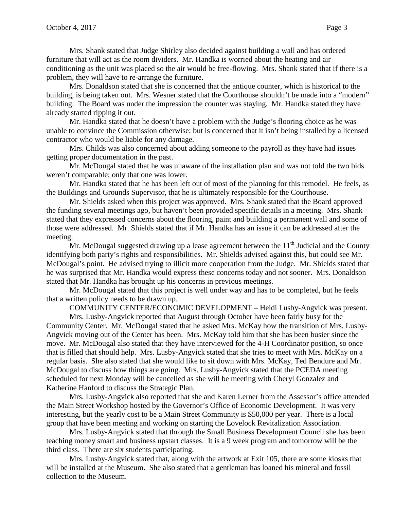Mrs. Shank stated that Judge Shirley also decided against building a wall and has ordered furniture that will act as the room dividers. Mr. Handka is worried about the heating and air conditioning as the unit was placed so the air would be free-flowing. Mrs. Shank stated that if there is a problem, they will have to re-arrange the furniture.

Mrs. Donaldson stated that she is concerned that the antique counter, which is historical to the building, is being taken out. Mrs. Wesner stated that the Courthouse shouldn't be made into a "modern" building. The Board was under the impression the counter was staying. Mr. Handka stated they have already started ripping it out.

Mr. Handka stated that he doesn't have a problem with the Judge's flooring choice as he was unable to convince the Commission otherwise; but is concerned that it isn't being installed by a licensed contractor who would be liable for any damage.

Mrs. Childs was also concerned about adding someone to the payroll as they have had issues getting proper documentation in the past.

Mr. McDougal stated that he was unaware of the installation plan and was not told the two bids weren't comparable; only that one was lower.

Mr. Handka stated that he has been left out of most of the planning for this remodel. He feels, as the Buildings and Grounds Supervisor, that he is ultimately responsible for the Courthouse.

Mr. Shields asked when this project was approved. Mrs. Shank stated that the Board approved the funding several meetings ago, but haven't been provided specific details in a meeting. Mrs. Shank stated that they expressed concerns about the flooring, paint and building a permanent wall and some of those were addressed. Mr. Shields stated that if Mr. Handka has an issue it can be addressed after the meeting.

Mr. McDougal suggested drawing up a lease agreement between the  $11<sup>th</sup>$  Judicial and the County identifying both party's rights and responsibilities. Mr. Shields advised against this, but could see Mr. McDougal's point. He advised trying to illicit more cooperation from the Judge. Mr. Shields stated that he was surprised that Mr. Handka would express these concerns today and not sooner. Mrs. Donaldson stated that Mr. Handka has brought up his concerns in previous meetings.

Mr. McDougal stated that this project is well under way and has to be completed, but he feels that a written policy needs to be drawn up.

COMMUNITY CENTER/ECONOMIC DEVELOPMENT – Heidi Lusby-Angvick was present.

Mrs. Lusby-Angvick reported that August through October have been fairly busy for the Community Center. Mr. McDougal stated that he asked Mrs. McKay how the transition of Mrs. Lusby-Angvick moving out of the Center has been. Mrs. McKay told him that she has been busier since the move. Mr. McDougal also stated that they have interviewed for the 4-H Coordinator position, so once that is filled that should help. Mrs. Lusby-Angvick stated that she tries to meet with Mrs. McKay on a regular basis. She also stated that she would like to sit down with Mrs. McKay, Ted Bendure and Mr. McDougal to discuss how things are going. Mrs. Lusby-Angvick stated that the PCEDA meeting scheduled for next Monday will be cancelled as she will be meeting with Cheryl Gonzalez and Katherine Hanford to discuss the Strategic Plan.

Mrs. Lusby-Angvick also reported that she and Karen Lerner from the Assessor's office attended the Main Street Workshop hosted by the Governor's Office of Economic Development. It was very interesting, but the yearly cost to be a Main Street Community is \$50,000 per year. There is a local group that have been meeting and working on starting the Lovelock Revitalization Association.

Mrs. Lusby-Angvick stated that through the Small Business Development Council she has been teaching money smart and business upstart classes. It is a 9 week program and tomorrow will be the third class. There are six students participating.

Mrs. Lusby-Angvick stated that, along with the artwork at Exit 105, there are some kiosks that will be installed at the Museum. She also stated that a gentleman has loaned his mineral and fossil collection to the Museum.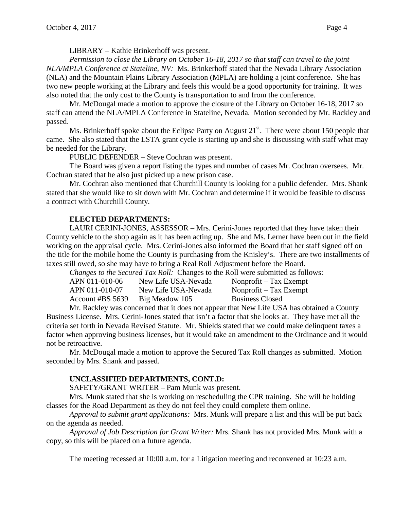*Permission to close the Library on October 16-18, 2017 so that staff can travel to the joint NLA/MPLA Conference at Stateline, NV:* Ms. Brinkerhoff stated that the Nevada Library Association (NLA) and the Mountain Plains Library Association (MPLA) are holding a joint conference. She has two new people working at the Library and feels this would be a good opportunity for training. It was also noted that the only cost to the County is transportation to and from the conference.

Mr. McDougal made a motion to approve the closure of the Library on October 16-18, 2017 so staff can attend the NLA/MPLA Conference in Stateline, Nevada. Motion seconded by Mr. Rackley and passed.

Ms. Brinkerhoff spoke about the Eclipse Party on August  $21^{st}$ . There were about 150 people that came. She also stated that the LSTA grant cycle is starting up and she is discussing with staff what may be needed for the Library.

PUBLIC DEFENDER – Steve Cochran was present.

The Board was given a report listing the types and number of cases Mr. Cochran oversees. Mr. Cochran stated that he also just picked up a new prison case.

Mr. Cochran also mentioned that Churchill County is looking for a public defender. Mrs. Shank stated that she would like to sit down with Mr. Cochran and determine if it would be feasible to discuss a contract with Churchill County.

## **ELECTED DEPARTMENTS:**

LAURI CERINI-JONES, ASSESSOR – Mrs. Cerini-Jones reported that they have taken their County vehicle to the shop again as it has been acting up. She and Ms. Lerner have been out in the field working on the appraisal cycle. Mrs. Cerini-Jones also informed the Board that her staff signed off on the title for the mobile home the County is purchasing from the Knisley's. There are two installments of taxes still owed, so she may have to bring a Real Roll Adjustment before the Board.

*Changes to the Secured Tax Roll:* Changes to the Roll were submitted as follows:

| APN 011-010-06   | New Life USA-Nevada | Nonprofit $-$ Tax Exempt |
|------------------|---------------------|--------------------------|
| APN 011-010-07   | New Life USA-Nevada | Nonprofit $-$ Tax Exempt |
| Account #BS 5639 | Big Meadow 105      | <b>Business Closed</b>   |

Mr. Rackley was concerned that it does not appear that New Life USA has obtained a County Business License. Mrs. Cerini-Jones stated that isn't a factor that she looks at. They have met all the criteria set forth in Nevada Revised Statute. Mr. Shields stated that we could make delinquent taxes a factor when approving business licenses, but it would take an amendment to the Ordinance and it would not be retroactive.

Mr. McDougal made a motion to approve the Secured Tax Roll changes as submitted. Motion seconded by Mrs. Shank and passed.

## **UNCLASSIFIED DEPARTMENTS, CONT.D:**

SAFETY/GRANT WRITER – Pam Munk was present.

Mrs. Munk stated that she is working on rescheduling the CPR training. She will be holding classes for the Road Department as they do not feel they could complete them online.

*Approval to submit grant applications:* Mrs. Munk will prepare a list and this will be put back on the agenda as needed.

*Approval of Job Description for Grant Writer:* Mrs. Shank has not provided Mrs. Munk with a copy, so this will be placed on a future agenda.

The meeting recessed at 10:00 a.m. for a Litigation meeting and reconvened at 10:23 a.m.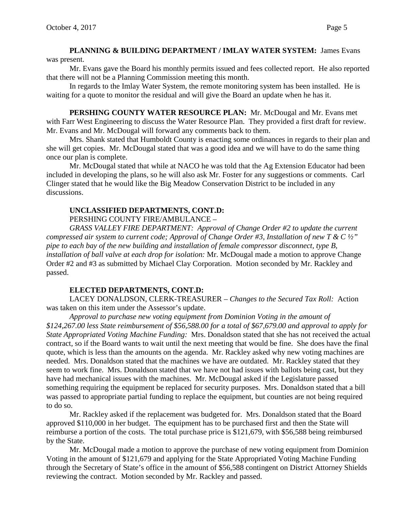### **PLANNING & BUILDING DEPARTMENT / IMLAY WATER SYSTEM:** James Evans was present.

Mr. Evans gave the Board his monthly permits issued and fees collected report. He also reported that there will not be a Planning Commission meeting this month.

In regards to the Imlay Water System, the remote monitoring system has been installed. He is waiting for a quote to monitor the residual and will give the Board an update when he has it.

**PERSHING COUNTY WATER RESOURCE PLAN:** Mr. McDougal and Mr. Evans met with Farr West Engineering to discuss the Water Resource Plan. They provided a first draft for review. Mr. Evans and Mr. McDougal will forward any comments back to them.

Mrs. Shank stated that Humboldt County is enacting some ordinances in regards to their plan and she will get copies. Mr. McDougal stated that was a good idea and we will have to do the same thing once our plan is complete.

Mr. McDougal stated that while at NACO he was told that the Ag Extension Educator had been included in developing the plans, so he will also ask Mr. Foster for any suggestions or comments. Carl Clinger stated that he would like the Big Meadow Conservation District to be included in any discussions.

# **UNCLASSIFIED DEPARTMENTS, CONT.D:**

PERSHING COUNTY FIRE/AMBULANCE –

*GRASS VALLEY FIRE DEPARTMENT: Approval of Change Order #2 to update the current compressed air system to current code; Approval of Change Order #3, Installation of new T & C ½" pipe to each bay of the new building and installation of female compressor disconnect, type B, installation of ball valve at each drop for isolation:* Mr. McDougal made a motion to approve Change Order #2 and #3 as submitted by Michael Clay Corporation. Motion seconded by Mr. Rackley and passed.

## **ELECTED DEPARTMENTS, CONT.D:**

LACEY DONALDSON, CLERK-TREASURER – *Changes to the Secured Tax Roll:* Action was taken on this item under the Assessor's update.

*Approval to purchase new voting equipment from Dominion Voting in the amount of \$124,267.00 less State reimbursement of \$56,588.00 for a total of \$67,679.00 and approval to apply for State Appropriated Voting Machine Funding:* Mrs. Donaldson stated that she has not received the actual contract, so if the Board wants to wait until the next meeting that would be fine. She does have the final quote, which is less than the amounts on the agenda. Mr. Rackley asked why new voting machines are needed. Mrs. Donaldson stated that the machines we have are outdated. Mr. Rackley stated that they seem to work fine. Mrs. Donaldson stated that we have not had issues with ballots being cast, but they have had mechanical issues with the machines. Mr. McDougal asked if the Legislature passed something requiring the equipment be replaced for security purposes. Mrs. Donaldson stated that a bill was passed to appropriate partial funding to replace the equipment, but counties are not being required to do so.

Mr. Rackley asked if the replacement was budgeted for. Mrs. Donaldson stated that the Board approved \$110,000 in her budget. The equipment has to be purchased first and then the State will reimburse a portion of the costs. The total purchase price is \$121,679, with \$56,588 being reimbursed by the State.

Mr. McDougal made a motion to approve the purchase of new voting equipment from Dominion Voting in the amount of \$121,679 and applying for the State Appropriated Voting Machine Funding through the Secretary of State's office in the amount of \$56,588 contingent on District Attorney Shields reviewing the contract. Motion seconded by Mr. Rackley and passed.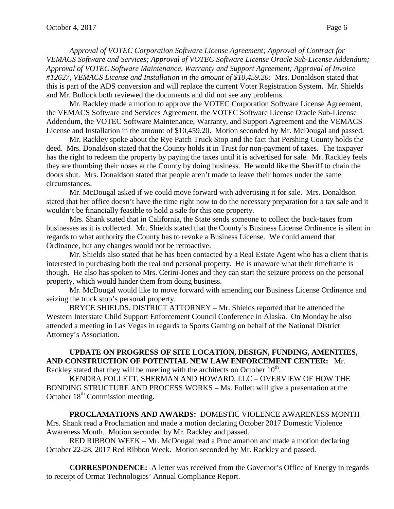*Approval of VOTEC Corporation Software License Agreement; Approval of Contract for VEMACS Software and Services; Approval of VOTEC Software License Oracle Sub-License Addendum; Approval of VOTEC Software Maintenance, Warranty and Support Agreement; Approval of Invoice #12627, VEMACS License and Installation in the amount of \$10,459.20:* Mrs. Donaldson stated that this is part of the ADS conversion and will replace the current Voter Registration System. Mr. Shields and Mr. Bullock both reviewed the documents and did not see any problems.

Mr. Rackley made a motion to approve the VOTEC Corporation Software License Agreement, the VEMACS Software and Services Agreement, the VOTEC Software License Oracle Sub-License Addendum, the VOTEC Software Maintenance, Warranty, and Support Agreement and the VEMACS License and Installation in the amount of \$10,459.20. Motion seconded by Mr. McDougal and passed.

Mr. Rackley spoke about the Rye Patch Truck Stop and the fact that Pershing County holds the deed. Mrs. Donaldson stated that the County holds it in Trust for non-payment of taxes. The taxpayer has the right to redeem the property by paying the taxes until it is advertised for sale. Mr. Rackley feels they are thumbing their noses at the County by doing business. He would like the Sheriff to chain the doors shut. Mrs. Donaldson stated that people aren't made to leave their homes under the same circumstances.

Mr. McDougal asked if we could move forward with advertising it for sale. Mrs. Donaldson stated that her office doesn't have the time right now to do the necessary preparation for a tax sale and it wouldn't be financially feasible to hold a sale for this one property.

Mrs. Shank stated that in California, the State sends someone to collect the back-taxes from businesses as it is collected. Mr. Shields stated that the County's Business License Ordinance is silent in regards to what authority the County has to revoke a Business License. We could amend that Ordinance, but any changes would not be retroactive.

Mr. Shields also stated that he has been contacted by a Real Estate Agent who has a client that is interested in purchasing both the real and personal property. He is unaware what their timeframe is though. He also has spoken to Mrs. Cerini-Jones and they can start the seizure process on the personal property, which would hinder them from doing business.

Mr. McDougal would like to move forward with amending our Business License Ordinance and seizing the truck stop's personal property.

BRYCE SHIELDS, DISTRICT ATTORNEY – Mr. Shields reported that he attended the Western Interstate Child Support Enforcement Council Conference in Alaska. On Monday he also attended a meeting in Las Vegas in regards to Sports Gaming on behalf of the National District Attorney's Association.

# **UPDATE ON PROGRESS OF SITE LOCATION, DESIGN, FUNDING, AMENITIES, AND CONSTRUCTION OF POTENTIAL NEW LAW ENFORCEMENT CENTER:** Mr.

Rackley stated that they will be meeting with the architects on October  $10^{th}$ .

KENDRA FOLLETT, SHERMAN AND HOWARD, LLC – OVERVIEW OF HOW THE BONDING STRUCTURE AND PROCESS WORKS – Ms. Follett will give a presentation at the October  $18<sup>th</sup>$  Commission meeting.

**PROCLAMATIONS AND AWARDS:** DOMESTIC VIOLENCE AWARENESS MONTH – Mrs. Shank read a Proclamation and made a motion declaring October 2017 Domestic Violence Awareness Month. Motion seconded by Mr. Rackley and passed.

RED RIBBON WEEK – Mr. McDougal read a Proclamation and made a motion declaring October 22-28, 2017 Red Ribbon Week. Motion seconded by Mr. Rackley and passed.

**CORRESPONDENCE:** A letter was received from the Governor's Office of Energy in regards to receipt of Ormat Technologies' Annual Compliance Report.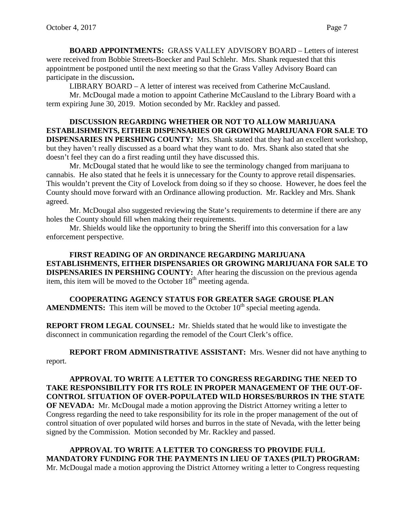**BOARD APPOINTMENTS:** GRASS VALLEY ADVISORY BOARD – Letters of interest were received from Bobbie Streets-Boecker and Paul Schlehr. Mrs. Shank requested that this appointment be postponed until the next meeting so that the Grass Valley Advisory Board can participate in the discussion**.**

LIBRARY BOARD – A letter of interest was received from Catherine McCausland.

Mr. McDougal made a motion to appoint Catherine McCausland to the Library Board with a term expiring June 30, 2019. Motion seconded by Mr. Rackley and passed.

**DISCUSSION REGARDING WHETHER OR NOT TO ALLOW MARIJUANA ESTABLISHMENTS, EITHER DISPENSARIES OR GROWING MARIJUANA FOR SALE TO DISPENSARIES IN PERSHING COUNTY:** Mrs. Shank stated that they had an excellent workshop, but they haven't really discussed as a board what they want to do. Mrs. Shank also stated that she doesn't feel they can do a first reading until they have discussed this.

Mr. McDougal stated that he would like to see the terminology changed from marijuana to cannabis. He also stated that he feels it is unnecessary for the County to approve retail dispensaries. This wouldn't prevent the City of Lovelock from doing so if they so choose. However, he does feel the County should move forward with an Ordinance allowing production. Mr. Rackley and Mrs. Shank agreed.

Mr. McDougal also suggested reviewing the State's requirements to determine if there are any holes the County should fill when making their requirements.

Mr. Shields would like the opportunity to bring the Sheriff into this conversation for a law enforcement perspective.

**FIRST READING OF AN ORDINANCE REGARDING MARIJUANA ESTABLISHMENTS, EITHER DISPENSARIES OR GROWING MARIJUANA FOR SALE TO DISPENSARIES IN PERSHING COUNTY:** After hearing the discussion on the previous agenda item, this item will be moved to the October  $18<sup>th</sup>$  meeting agenda.

**COOPERATING AGENCY STATUS FOR GREATER SAGE GROUSE PLAN AMENDMENTS:** This item will be moved to the October  $10<sup>th</sup>$  special meeting agenda.

**REPORT FROM LEGAL COUNSEL:** Mr. Shields stated that he would like to investigate the disconnect in communication regarding the remodel of the Court Clerk's office.

**REPORT FROM ADMINISTRATIVE ASSISTANT:** Mrs. Wesner did not have anything to report.

**APPROVAL TO WRITE A LETTER TO CONGRESS REGARDING THE NEED TO TAKE RESPONSIBILITY FOR ITS ROLE IN PROPER MANAGEMENT OF THE OUT-OF-CONTROL SITUATION OF OVER-POPULATED WILD HORSES/BURROS IN THE STATE OF NEVADA:** Mr. McDougal made a motion approving the District Attorney writing a letter to Congress regarding the need to take responsibility for its role in the proper management of the out of control situation of over populated wild horses and burros in the state of Nevada, with the letter being signed by the Commission. Motion seconded by Mr. Rackley and passed.

**APPROVAL TO WRITE A LETTER TO CONGRESS TO PROVIDE FULL MANDATORY FUNDING FOR THE PAYMENTS IN LIEU OF TAXES (PILT) PROGRAM:**  Mr. McDougal made a motion approving the District Attorney writing a letter to Congress requesting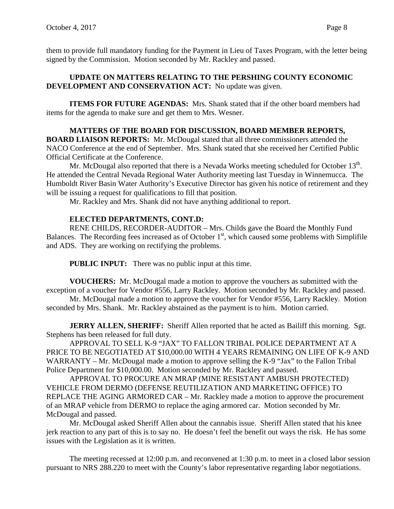them to provide full mandatory funding for the Payment in Lieu of Taxes Program, with the letter being signed by the Commission. Motion seconded by Mr. Rackley and passed.

### **UPDATE ON MATTERS RELATING TO THE PERSHING COUNTY ECONOMIC DEVELOPMENT AND CONSERVATION ACT:** No update was given.

**ITEMS FOR FUTURE AGENDAS:** Mrs. Shank stated that if the other board members had items for the agenda to make sure and get them to Mrs. Wesner.

**MATTERS OF THE BOARD FOR DISCUSSION, BOARD MEMBER REPORTS, BOARD LIAISON REPORTS:** Mr. McDougal stated that all three commissioners attended the NACO Conference at the end of September. Mrs. Shank stated that she received her Certified Public Official Certificate at the Conference.

Mr. McDougal also reported that there is a Nevada Works meeting scheduled for October 13<sup>th</sup>. He attended the Central Nevada Regional Water Authority meeting last Tuesday in Winnemucca. The Humboldt River Basin Water Authority's Executive Director has given his notice of retirement and they will be issuing a request for qualifications to fill that position.

Mr. Rackley and Mrs. Shank did not have anything additional to report.

### **ELECTED DEPARTMENTS, CONT.D:**

RENE CHILDS, RECORDER-AUDITOR – Mrs. Childs gave the Board the Monthly Fund Balances. The Recording fees increased as of October  $1<sup>st</sup>$ , which caused some problems with Simplifile and ADS. They are working on rectifying the problems.

**PUBLIC INPUT:** There was no public input at this time.

**VOUCHERS:** Mr. McDougal made a motion to approve the vouchers as submitted with the exception of a voucher for Vendor #556, Larry Rackley. Motion seconded by Mr. Rackley and passed.

Mr. McDougal made a motion to approve the voucher for Vendor #556, Larry Rackley. Motion seconded by Mrs. Shank. Mr. Rackley abstained as the payment is to him. Motion carried.

**JERRY ALLEN, SHERIFF:** Sheriff Allen reported that he acted as Bailiff this morning. Sgt. Stephens has been released for full duty.

APPROVAL TO SELL K-9 "JAX" TO FALLON TRIBAL POLICE DEPARTMENT AT A PRICE TO BE NEGOTIATED AT \$10,000.00 WITH 4 YEARS REMAINING ON LIFE OF K-9 AND WARRANTY – Mr. McDougal made a motion to approve selling the K-9 "Jax" to the Fallon Tribal Police Department for \$10,000.00. Motion seconded by Mr. Rackley and passed.

APPROVAL TO PROCURE AN MRAP (MINE RESISTANT AMBUSH PROTECTED) VEHICLE FROM DERMO (DEFENSE REUTILIZATION AND MARKETING OFFICE) TO REPLACE THE AGING ARMORED CAR – Mr. Rackley made a motion to approve the procurement of an MRAP vehicle from DERMO to replace the aging armored car. Motion seconded by Mr. McDougal and passed.

Mr. McDougal asked Sheriff Allen about the cannabis issue. Sheriff Allen stated that his knee jerk reaction to any part of this is to say no. He doesn't feel the benefit out ways the risk. He has some issues with the Legislation as it is written.

The meeting recessed at 12:00 p.m. and reconvened at 1:30 p.m. to meet in a closed labor session pursuant to NRS 288.220 to meet with the County's labor representative regarding labor negotiations.